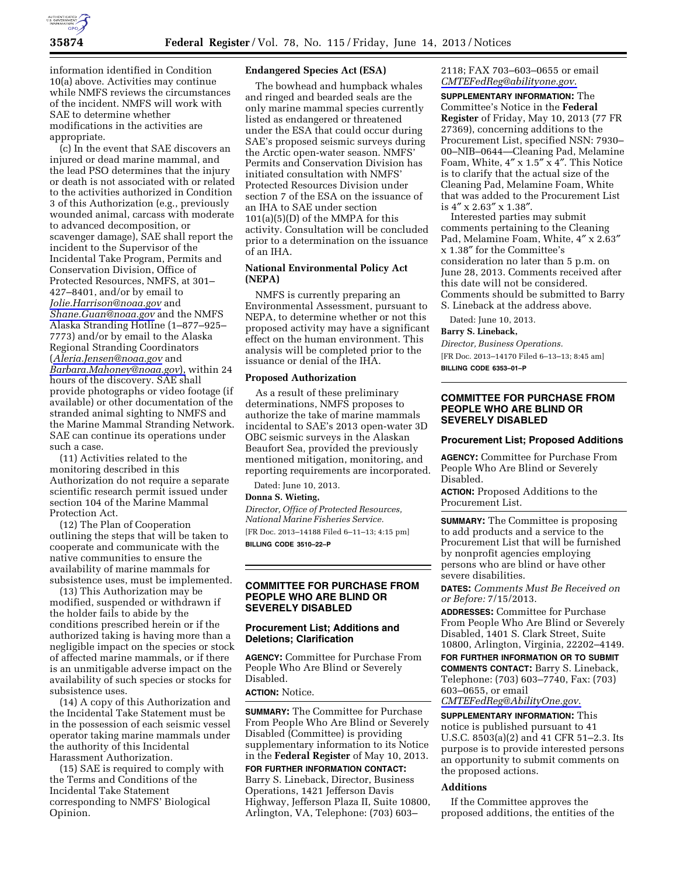

information identified in Condition 10(a) above. Activities may continue while NMFS reviews the circumstances of the incident. NMFS will work with SAE to determine whether modifications in the activities are appropriate.

(c) In the event that SAE discovers an injured or dead marine mammal, and the lead PSO determines that the injury or death is not associated with or related to the activities authorized in Condition 3 of this Authorization (e.g., previously wounded animal, carcass with moderate to advanced decomposition, or scavenger damage), SAE shall report the incident to the Supervisor of the Incidental Take Program, Permits and Conservation Division, Office of Protected Resources, NMFS, at 301– 427–8401, and/or by email to *[Jolie.Harrison@noaa.gov](mailto:Jolie.Harrison@noaa.gov)* and *[Shane.Guan@noaa.gov](mailto:Shane.Guan@noaa.gov)* and the NMFS Alaska Stranding Hotline (1–877–925– 7773) and/or by email to the Alaska Regional Stranding Coordinators (*[Aleria.Jensen@noaa.gov](mailto:Aleria.Jensen@noaa.gov)* and *[Barbara.Mahoney@noaa.gov](mailto:Barbara.Mahoney@noaa.gov)*), within 24 hours of the discovery. SAE shall provide photographs or video footage (if available) or other documentation of the stranded animal sighting to NMFS and the Marine Mammal Stranding Network. SAE can continue its operations under such a case.

(11) Activities related to the monitoring described in this Authorization do not require a separate scientific research permit issued under section 104 of the Marine Mammal Protection Act.

(12) The Plan of Cooperation outlining the steps that will be taken to cooperate and communicate with the native communities to ensure the availability of marine mammals for subsistence uses, must be implemented.

(13) This Authorization may be modified, suspended or withdrawn if the holder fails to abide by the conditions prescribed herein or if the authorized taking is having more than a negligible impact on the species or stock of affected marine mammals, or if there is an unmitigable adverse impact on the availability of such species or stocks for subsistence uses.

(14) A copy of this Authorization and the Incidental Take Statement must be in the possession of each seismic vessel operator taking marine mammals under the authority of this Incidental Harassment Authorization.

(15) SAE is required to comply with the Terms and Conditions of the Incidental Take Statement corresponding to NMFS' Biological Opinion.

### **Endangered Species Act (ESA)**

The bowhead and humpback whales and ringed and bearded seals are the only marine mammal species currently listed as endangered or threatened under the ESA that could occur during SAE's proposed seismic surveys during the Arctic open-water season. NMFS' Permits and Conservation Division has initiated consultation with NMFS' Protected Resources Division under section 7 of the ESA on the issuance of an IHA to SAE under section  $101(a)(5)(D)$  of the MMPA for this activity. Consultation will be concluded prior to a determination on the issuance of an IHA.

## **National Environmental Policy Act (NEPA)**

NMFS is currently preparing an Environmental Assessment, pursuant to NEPA, to determine whether or not this proposed activity may have a significant effect on the human environment. This analysis will be completed prior to the issuance or denial of the IHA.

#### **Proposed Authorization**

As a result of these preliminary determinations, NMFS proposes to authorize the take of marine mammals incidental to SAE's 2013 open-water 3D OBC seismic surveys in the Alaskan Beaufort Sea, provided the previously mentioned mitigation, monitoring, and reporting requirements are incorporated.

Dated: June 10, 2013.

#### **Donna S. Wieting,**

*Director, Office of Protected Resources, National Marine Fisheries Service.*  [FR Doc. 2013–14188 Filed 6–11–13; 4:15 pm] **BILLING CODE 3510–22–P** 

## **COMMITTEE FOR PURCHASE FROM PEOPLE WHO ARE BLIND OR SEVERELY DISABLED**

# **Procurement List; Additions and Deletions; Clarification**

**AGENCY:** Committee for Purchase From People Who Are Blind or Severely Disabled.

**ACTION:** Notice.

**SUMMARY:** The Committee for Purchase From People Who Are Blind or Severely Disabled (Committee) is providing supplementary information to its Notice in the **Federal Register** of May 10, 2013.

**FOR FURTHER INFORMATION CONTACT:**  Barry S. Lineback, Director, Business Operations, 1421 Jefferson Davis Highway, Jefferson Plaza II, Suite 10800, Arlington, VA, Telephone: (703) 603–

## 2118; FAX 703–603–0655 or email *[CMTEFedReg@abilityone.gov](mailto:CMTEFedReg@abilityone.gov)*.

**SUPPLEMENTARY INFORMATION:** The Committee's Notice in the **Federal Register** of Friday, May 10, 2013 (77 FR 27369), concerning additions to the Procurement List, specified NSN: 7930– 00–NIB–0644—Cleaning Pad, Melamine Foam, White, 4″ x 1.5″ x 4″. This Notice is to clarify that the actual size of the Cleaning Pad, Melamine Foam, White that was added to the Procurement List is 4″ x 2.63″ x 1.38″.

Interested parties may submit comments pertaining to the Cleaning Pad, Melamine Foam, White, 4″ x 2.63″ x 1.38″ for the Committee's consideration no later than 5 p.m. on June 28, 2013. Comments received after this date will not be considered. Comments should be submitted to Barry S. Lineback at the address above.

Dated: June 10, 2013.

**Barry S. Lineback,** 

*Director, Business Operations.*  [FR Doc. 2013–14170 Filed 6–13–13; 8:45 am] **BILLING CODE 6353–01–P** 

# **COMMITTEE FOR PURCHASE FROM PEOPLE WHO ARE BLIND OR SEVERELY DISABLED**

#### **Procurement List; Proposed Additions**

**AGENCY:** Committee for Purchase From People Who Are Blind or Severely Disabled.

**ACTION:** Proposed Additions to the Procurement List.

**SUMMARY:** The Committee is proposing to add products and a service to the Procurement List that will be furnished by nonprofit agencies employing persons who are blind or have other severe disabilities.

**DATES:** *Comments Must Be Received on or Before:* 7/15/2013.

**ADDRESSES:** Committee for Purchase From People Who Are Blind or Severely Disabled, 1401 S. Clark Street, Suite 10800, Arlington, Virginia, 22202–4149. **FOR FURTHER INFORMATION OR TO SUBMIT COMMENTS CONTACT:** Barry S. Lineback, Telephone: (703) 603–7740, Fax: (703) 603–0655, or email *[CMTEFedReg@AbilityOne.gov](mailto:CMTEFedReg@AbilityOne.gov)*.

**SUPPLEMENTARY INFORMATION:** This notice is published pursuant to 41 U.S.C. 8503(a)(2) and 41 CFR 51–2.3. Its purpose is to provide interested persons an opportunity to submit comments on the proposed actions.

### **Additions**

If the Committee approves the proposed additions, the entities of the